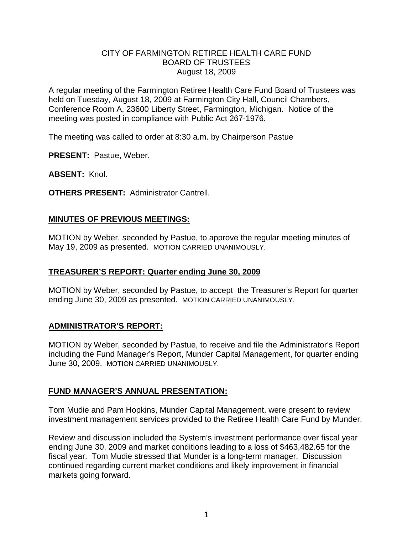## CITY OF FARMINGTON RETIREE HEALTH CARE FUND BOARD OF TRUSTEES August 18, 2009

A regular meeting of the Farmington Retiree Health Care Fund Board of Trustees was held on Tuesday, August 18, 2009 at Farmington City Hall, Council Chambers, Conference Room A, 23600 Liberty Street, Farmington, Michigan. Notice of the meeting was posted in compliance with Public Act 267-1976.

The meeting was called to order at 8:30 a.m. by Chairperson Pastue

**PRESENT:** Pastue, Weber.

**ABSENT:** Knol.

**OTHERS PRESENT:** Administrator Cantrell.

## **MINUTES OF PREVIOUS MEETINGS:**

MOTION by Weber, seconded by Pastue, to approve the regular meeting minutes of May 19, 2009 as presented. MOTION CARRIED UNANIMOUSLY.

#### **TREASURER'S REPORT: Quarter ending June 30, 2009**

MOTION by Weber, seconded by Pastue, to accept the Treasurer's Report for quarter ending June 30, 2009 as presented. MOTION CARRIED UNANIMOUSLY.

## **ADMINISTRATOR'S REPORT:**

MOTION by Weber, seconded by Pastue, to receive and file the Administrator's Report including the Fund Manager's Report, Munder Capital Management, for quarter ending June 30, 2009. MOTION CARRIED UNANIMOUSLY.

## **FUND MANAGER'S ANNUAL PRESENTATION:**

Tom Mudie and Pam Hopkins, Munder Capital Management, were present to review investment management services provided to the Retiree Health Care Fund by Munder.

Review and discussion included the System's investment performance over fiscal year ending June 30, 2009 and market conditions leading to a loss of \$463,482.65 for the fiscal year. Tom Mudie stressed that Munder is a long-term manager. Discussion continued regarding current market conditions and likely improvement in financial markets going forward.